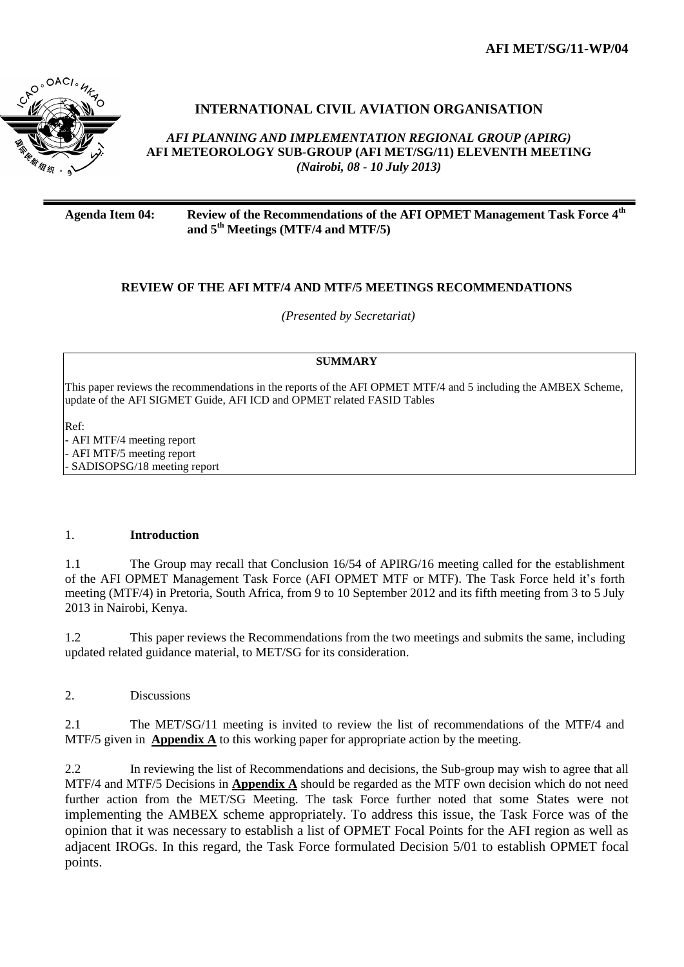**AFI MET/SG/11-WP/04**



# **INTERNATIONAL CIVIL AVIATION ORGANISATION**

*AFI PLANNING AND IMPLEMENTATION REGIONAL GROUP (APIRG)* **AFI METEOROLOGY SUB-GROUP (AFI MET/SG/11) ELEVENTH MEETING**  *(Nairobi, 08 - 10 July 2013)*

**Agenda Item 04: Review of the Recommendations of the AFI OPMET Management Task Force 4th and 5th Meetings (MTF/4 and MTF/5)**

#### **REVIEW OF THE AFI MTF/4 AND MTF/5 MEETINGS RECOMMENDATIONS**

*(Presented by Secretariat)*

#### **SUMMARY**

This paper reviews the recommendations in the reports of the AFI OPMET MTF/4 and 5 including the AMBEX Scheme, update of the AFI SIGMET Guide, AFI ICD and OPMET related FASID Tables

Ref: - AFI MTF/4 meeting report - AFI MTF/5 meeting report - SADISOPSG/18 meeting report

#### 1. **Introduction**

1.1 The Group may recall that Conclusion 16/54 of APIRG/16 meeting called for the establishment of the AFI OPMET Management Task Force (AFI OPMET MTF or MTF). The Task Force held it's forth meeting (MTF/4) in Pretoria, South Africa, from 9 to 10 September 2012 and its fifth meeting from 3 to 5 July 2013 in Nairobi, Kenya.

1.2 This paper reviews the Recommendations from the two meetings and submits the same, including updated related guidance material, to MET/SG for its consideration.

2. Discussions

2.1 The MET/SG/11 meeting is invited to review the list of recommendations of the MTF/4 and MTF/5 given in **Appendix A** to this working paper for appropriate action by the meeting.

2.2 In reviewing the list of Recommendations and decisions, the Sub-group may wish to agree that all MTF/4 and MTF/5 Decisions in **Appendix A** should be regarded as the MTF own decision which do not need further action from the MET/SG Meeting. The task Force further noted that some States were not implementing the AMBEX scheme appropriately. To address this issue, the Task Force was of the opinion that it was necessary to establish a list of OPMET Focal Points for the AFI region as well as adjacent IROGs. In this regard, the Task Force formulated Decision 5/01 to establish OPMET focal points.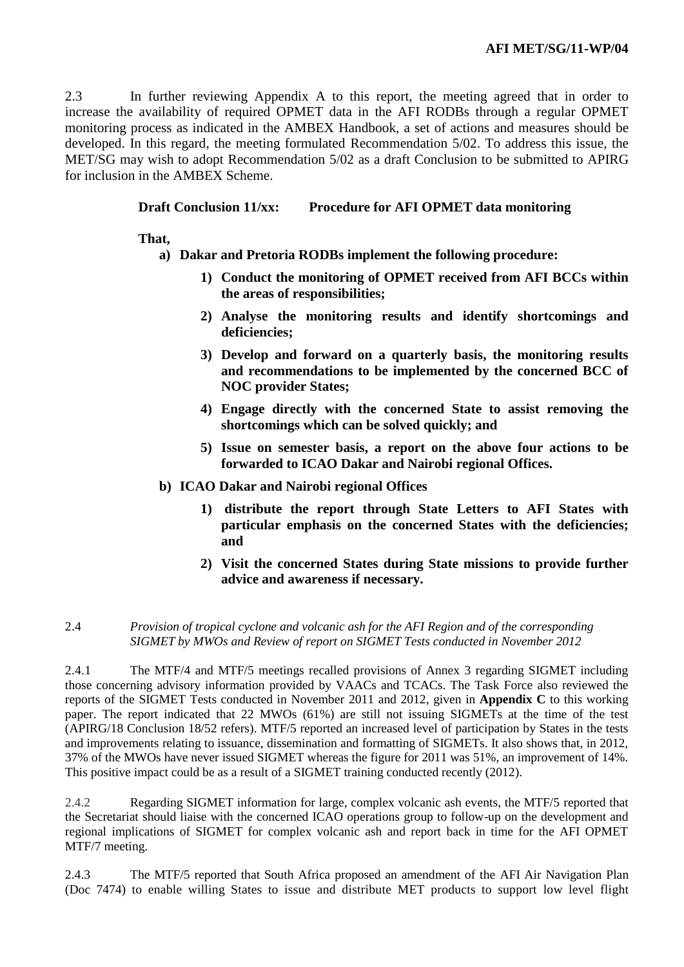2.3 In further reviewing Appendix A to this report, the meeting agreed that in order to increase the availability of required OPMET data in the AFI RODBs through a regular OPMET monitoring process as indicated in the AMBEX Handbook, a set of actions and measures should be developed. In this regard, the meeting formulated Recommendation 5/02. To address this issue, the MET/SG may wish to adopt Recommendation 5/02 as a draft Conclusion to be submitted to APIRG for inclusion in the AMBEX Scheme.

**Draft Conclusion 11/xx: Procedure for AFI OPMET data monitoring**

**That,** 

# **a) Dakar and Pretoria RODBs implement the following procedure:**

- **1) Conduct the monitoring of OPMET received from AFI BCCs within the areas of responsibilities;**
- **2) Analyse the monitoring results and identify shortcomings and deficiencies;**
- **3) Develop and forward on a quarterly basis, the monitoring results and recommendations to be implemented by the concerned BCC of NOC provider States;**
- **4) Engage directly with the concerned State to assist removing the shortcomings which can be solved quickly; and**
- **5) Issue on semester basis, a report on the above four actions to be forwarded to ICAO Dakar and Nairobi regional Offices.**
- **b) ICAO Dakar and Nairobi regional Offices**
	- **1) distribute the report through State Letters to AFI States with particular emphasis on the concerned States with the deficiencies; and**
	- **2) Visit the concerned States during State missions to provide further advice and awareness if necessary.**

## 2.4 *Provision of tropical cyclone and volcanic ash for the AFI Region and of the corresponding SIGMET by MWOs and Review of report on SIGMET Tests conducted in November 2012*

2.4.1 The MTF/4 and MTF/5 meetings recalled provisions of Annex 3 regarding SIGMET including those concerning advisory information provided by VAACs and TCACs. The Task Force also reviewed the reports of the SIGMET Tests conducted in November 2011 and 2012, given in **Appendix C** to this working paper. The report indicated that 22 MWOs (61%) are still not issuing SIGMETs at the time of the test (APIRG/18 Conclusion 18/52 refers). MTF/5 reported an increased level of participation by States in the tests and improvements relating to issuance, dissemination and formatting of SIGMETs. It also shows that, in 2012, 37% of the MWOs have never issued SIGMET whereas the figure for 2011 was 51%, an improvement of 14%. This positive impact could be as a result of a SIGMET training conducted recently (2012).

2.4.2 Regarding SIGMET information for large, complex volcanic ash events, the MTF/5 reported that the Secretariat should liaise with the concerned ICAO operations group to follow-up on the development and regional implications of SIGMET for complex volcanic ash and report back in time for the AFI OPMET MTF/7 meeting.

2.4.3 The MTF/5 reported that South Africa proposed an amendment of the AFI Air Navigation Plan (Doc 7474) to enable willing States to issue and distribute MET products to support low level flight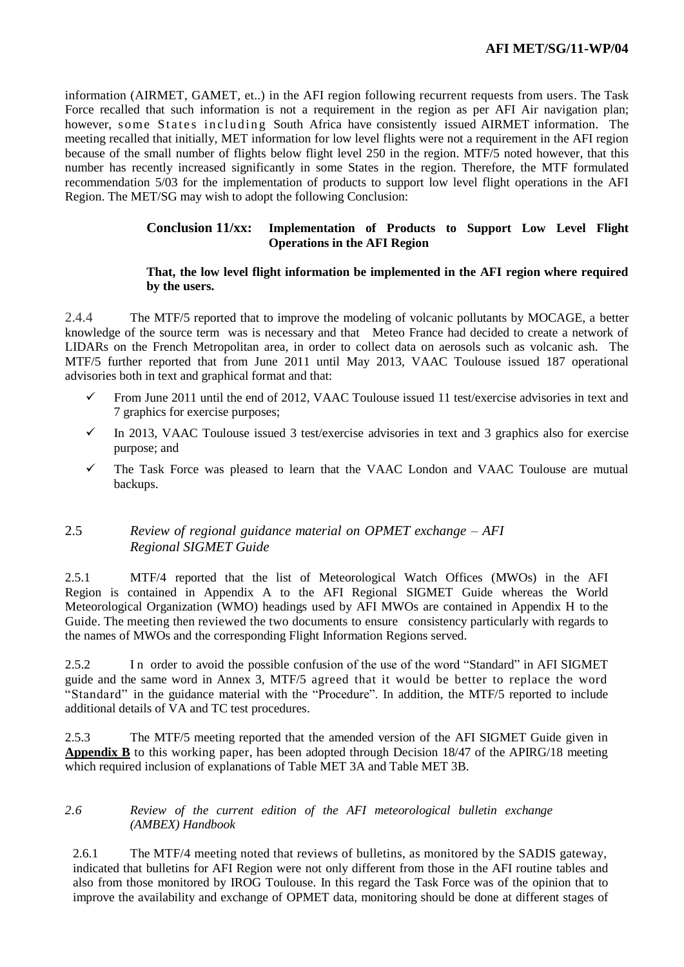information (AIRMET, GAMET, et..) in the AFI region following recurrent requests from users. The Task Force recalled that such information is not a requirement in the region as per AFI Air navigation plan; however, some States including South Africa have consistently issued AIRMET information. The meeting recalled that initially, MET information for low level flights were not a requirement in the AFI region because of the small number of flights below flight level 250 in the region. MTF/5 noted however, that this number has recently increased significantly in some States in the region. Therefore, the MTF formulated recommendation 5/03 for the implementation of products to support low level flight operations in the AFI Region. The MET/SG may wish to adopt the following Conclusion:

## **Conclusion 11/xx: Implementation of Products to Support Low Level Flight Operations in the AFI Region**

### **That, the low level flight information be implemented in the AFI region where required by the users.**

2.4.4 The MTF/5 reported that to improve the modeling of volcanic pollutants by MOCAGE, a better knowledge of the source term was is necessary and that Meteo France had decided to create a network of LIDARs on the French Metropolitan area, in order to collect data on aerosols such as volcanic ash. The MTF/5 further reported that from June 2011 until May 2013, VAAC Toulouse issued 187 operational advisories both in text and graphical format and that:

- From June 2011 until the end of 2012, VAAC Toulouse issued 11 test/exercise advisories in text and 7 graphics for exercise purposes;
- $\checkmark$  In 2013, VAAC Toulouse issued 3 test/exercise advisories in text and 3 graphics also for exercise purpose; and
- $\checkmark$  The Task Force was pleased to learn that the VAAC London and VAAC Toulouse are mutual backups.

## 2.5 *Review of regional guidance material on OPMET exchange – AFI Regional SIGMET Guide*

2.5.1 MTF/4 reported that the list of Meteorological Watch Offices (MWOs) in the AFI Region is contained in Appendix A to the AFI Regional SIGMET Guide whereas the World Meteorological Organization (WMO) headings used by AFI MWOs are contained in Appendix H to the Guide. The meeting then reviewed the two documents to ensure consistency particularly with regards to the names of MWOs and the corresponding Flight Information Regions served.

2.5.2 In order to avoid the possible confusion of the use of the word "Standard" in AFI SIGMET guide and the same word in Annex 3, MTF/5 agreed that it would be better to replace the word "Standard" in the guidance material with the "Procedure". In addition, the MTF/5 reported to include additional details of VA and TC test procedures.

2.5.3 The MTF/5 meeting reported that the amended version of the AFI SIGMET Guide given in **Appendix B** to this working paper, has been adopted through Decision 18/47 of the APIRG/18 meeting which required inclusion of explanations of Table MET 3A and Table MET 3B.

### *2.6 Review of the current edition of the AFI meteorological bulletin exchange (AMBEX) Handbook*

2.6.1 The MTF/4 meeting noted that reviews of bulletins, as monitored by the SADIS gateway, indicated that bulletins for AFI Region were not only different from those in the AFI routine tables and also from those monitored by IROG Toulouse. In this regard the Task Force was of the opinion that to improve the availability and exchange of OPMET data, monitoring should be done at different stages of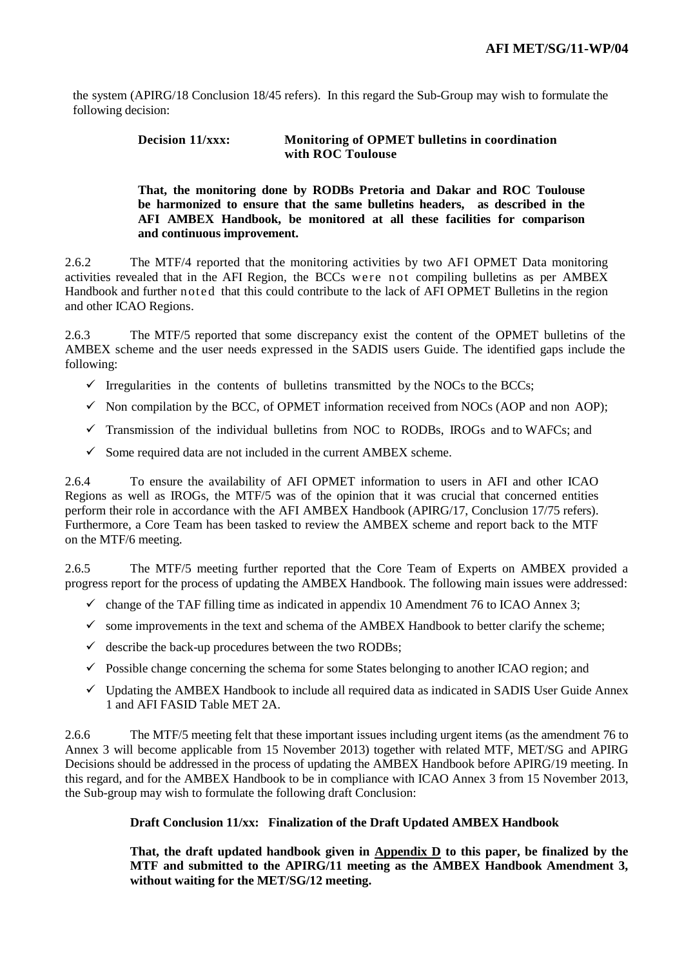the system (APIRG/18 Conclusion 18/45 refers). In this regard the Sub-Group may wish to formulate the following decision:

### **Decision 11/xxx: Monitoring of OPMET bulletins in coordination with ROC Toulouse**

#### **That, the monitoring done by RODBs Pretoria and Dakar and ROC Toulouse be harmonized to ensure that the same bulletins headers, as described in the AFI AMBEX Handbook, be monitored at all these facilities for comparison and continuous improvement.**

2.6.2 The MTF/4 reported that the monitoring activities by two AFI OPMET Data monitoring activities revealed that in the AFI Region, the BCCs were not compiling bulletins as per AMBEX Handbook and further noted that this could contribute to the lack of AFI OPMET Bulletins in the region and other ICAO Regions.

2.6.3 The MTF/5 reported that some discrepancy exist the content of the OPMET bulletins of the AMBEX scheme and the user needs expressed in the SADIS users Guide. The identified gaps include the following:

- $\checkmark$  Irregularities in the contents of bulletins transmitted by the NOCs to the BCCs;
- $\checkmark$  Non compilation by the BCC, of OPMET information received from NOCs (AOP and non AOP);
- $\checkmark$  Transmission of the individual bulletins from NOC to RODBs, IROGs and to WAFCs; and
- $\checkmark$  Some required data are not included in the current AMBEX scheme.

2.6.4 To ensure the availability of AFI OPMET information to users in AFI and other ICAO Regions as well as IROGs, the MTF/5 was of the opinion that it was crucial that concerned entities perform their role in accordance with the AFI AMBEX Handbook (APIRG/17, Conclusion 17/75 refers). Furthermore, a Core Team has been tasked to review the AMBEX scheme and report back to the MTF on the MTF/6 meeting.

2.6.5 The MTF/5 meeting further reported that the Core Team of Experts on AMBEX provided a progress report for the process of updating the AMBEX Handbook. The following main issues were addressed:

- $\checkmark$  change of the TAF filling time as indicated in appendix 10 Amendment 76 to ICAO Annex 3;
- $\checkmark$  some improvements in the text and schema of the AMBEX Handbook to better clarify the scheme;
- $\checkmark$  describe the back-up procedures between the two RODBs;
- $\checkmark$  Possible change concerning the schema for some States belonging to another ICAO region; and
- $\checkmark$  Updating the AMBEX Handbook to include all required data as indicated in SADIS User Guide Annex 1 and AFI FASID Table MET 2A.

2.6.6 The MTF/5 meeting felt that these important issues including urgent items (as the amendment 76 to Annex 3 will become applicable from 15 November 2013) together with related MTF, MET/SG and APIRG Decisions should be addressed in the process of updating the AMBEX Handbook before APIRG/19 meeting. In this regard, and for the AMBEX Handbook to be in compliance with ICAO Annex 3 from 15 November 2013, the Sub-group may wish to formulate the following draft Conclusion:

#### **Draft Conclusion 11/xx: Finalization of the Draft Updated AMBEX Handbook**

**That, the draft updated handbook given in Appendix D to this paper, be finalized by the MTF and submitted to the APIRG/11 meeting as the AMBEX Handbook Amendment 3, without waiting for the MET/SG/12 meeting.**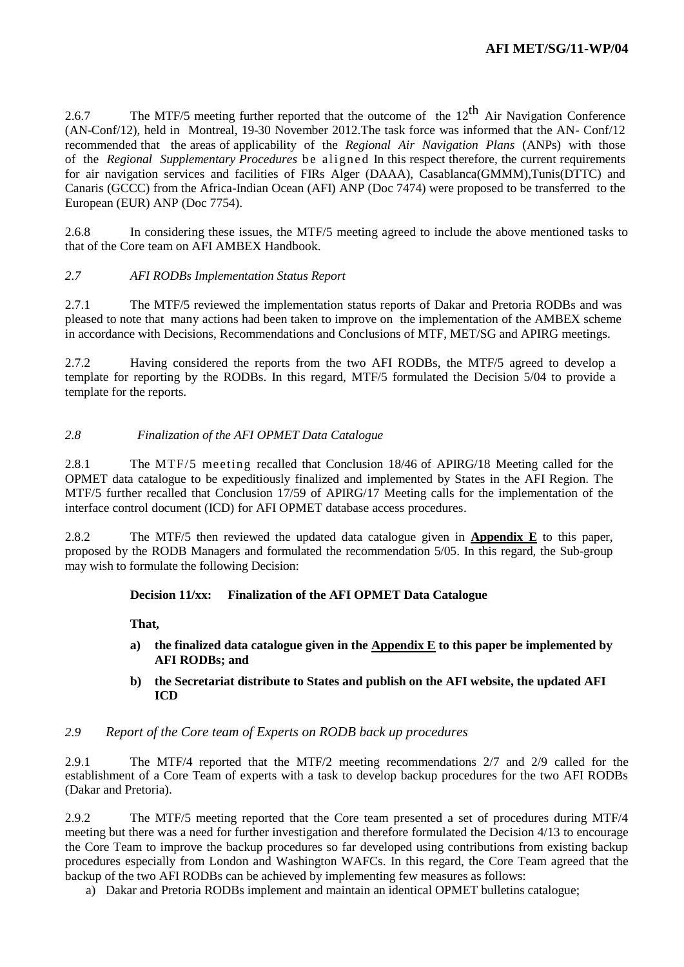2.6.7 The MTF/5 meeting further reported that the outcome of the  $12^{th}$  Air Navigation Conference (AN-Conf/12), held in Montreal, 19-30 November 2012.The task force was informed that the AN- Conf/12 recommended that the areas of applicability of the *Regional Air Navigation Plans* (ANPs) with those of the *Regional Supplementary Procedures* be aligned In this respect therefore, the current requirements for air navigation services and facilities of FIRs Alger (DAAA), Casablanca(GMMM),Tunis(DTTC) and Canaris (GCCC) from the Africa-Indian Ocean (AFI) ANP (Doc 7474) were proposed to be transferred to the European (EUR) ANP (Doc 7754).

2.6.8 In considering these issues, the MTF/5 meeting agreed to include the above mentioned tasks to that of the Core team on AFI AMBEX Handbook.

## *2.7 AFI RODBs Implementation Status Report*

2.7.1 The MTF/5 reviewed the implementation status reports of Dakar and Pretoria RODBs and was pleased to note that many actions had been taken to improve on the implementation of the AMBEX scheme in accordance with Decisions, Recommendations and Conclusions of MTF, MET/SG and APIRG meetings.

2.7.2 Having considered the reports from the two AFI RODBs, the MTF/5 agreed to develop a template for reporting by the RODBs. In this regard, MTF/5 formulated the Decision 5/04 to provide a template for the reports.

### *2.8 Finalization of the AFI OPMET Data Catalogue*

2.8.1 The MTF/5 meeting recalled that Conclusion 18/46 of APIRG/18 Meeting called for the OPMET data catalogue to be expeditiously finalized and implemented by States in the AFI Region. The MTF/5 further recalled that Conclusion 17/59 of APIRG/17 Meeting calls for the implementation of the interface control document (ICD) for AFI OPMET database access procedures.

2.8.2 The MTF/5 then reviewed the updated data catalogue given in **Appendix E** to this paper, proposed by the RODB Managers and formulated the recommendation 5/05. In this regard, the Sub-group may wish to formulate the following Decision:

#### **Decision 11/xx: Finalization of the AFI OPMET Data Catalogue**

**That,**

- **a) the finalized data catalogue given in the Appendix E to this paper be implemented by AFI RODBs; and**
- **b) the Secretariat distribute to States and publish on the AFI website, the updated AFI ICD**

#### *2.9 Report of the Core team of Experts on RODB back up procedures*

2.9.1 The MTF/4 reported that the MTF/2 meeting recommendations 2/7 and 2/9 called for the establishment of a Core Team of experts with a task to develop backup procedures for the two AFI RODBs (Dakar and Pretoria).

2.9.2 The MTF/5 meeting reported that the Core team presented a set of procedures during MTF/4 meeting but there was a need for further investigation and therefore formulated the Decision 4/13 to encourage the Core Team to improve the backup procedures so far developed using contributions from existing backup procedures especially from London and Washington WAFCs. In this regard, the Core Team agreed that the backup of the two AFI RODBs can be achieved by implementing few measures as follows:

a) Dakar and Pretoria RODBs implement and maintain an identical OPMET bulletins catalogue;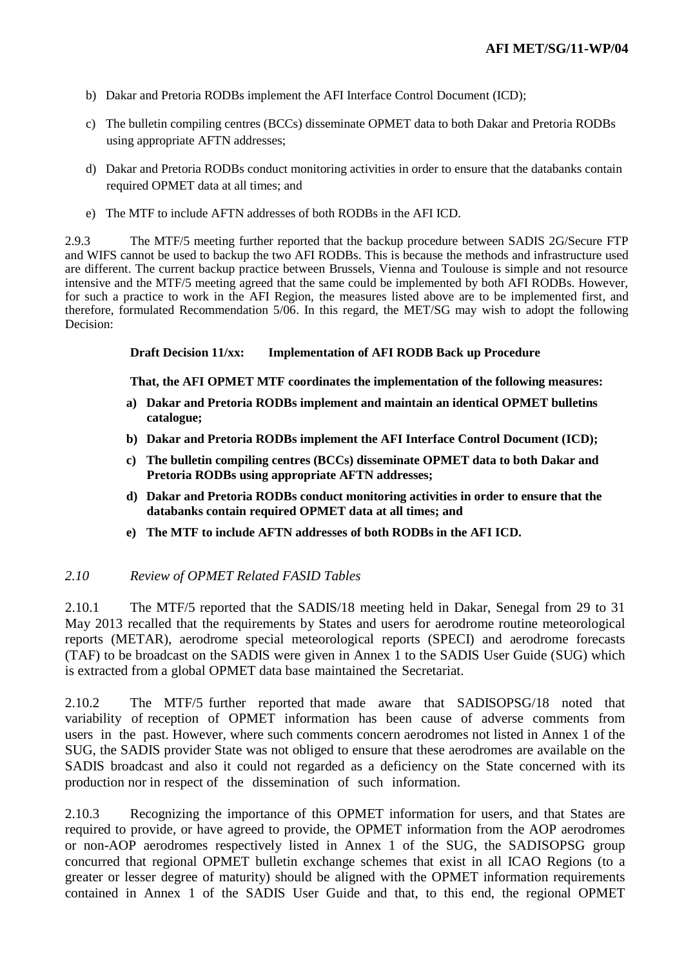- b) Dakar and Pretoria RODBs implement the AFI Interface Control Document (ICD);
- c) The bulletin compiling centres (BCCs) disseminate OPMET data to both Dakar and Pretoria RODBs using appropriate AFTN addresses;
- d) Dakar and Pretoria RODBs conduct monitoring activities in order to ensure that the databanks contain required OPMET data at all times; and
- e) The MTF to include AFTN addresses of both RODBs in the AFI ICD.

2.9.3 The MTF/5 meeting further reported that the backup procedure between SADIS 2G/Secure FTP and WIFS cannot be used to backup the two AFI RODBs. This is because the methods and infrastructure used are different. The current backup practice between Brussels, Vienna and Toulouse is simple and not resource intensive and the MTF/5 meeting agreed that the same could be implemented by both AFI RODBs. However, for such a practice to work in the AFI Region, the measures listed above are to be implemented first, and therefore, formulated Recommendation 5/06. In this regard, the MET/SG may wish to adopt the following Decision:

### **Draft Decision 11/xx: Implementation of AFI RODB Back up Procedure**

**That, the AFI OPMET MTF coordinates the implementation of the following measures:**

- **a) Dakar and Pretoria RODBs implement and maintain an identical OPMET bulletins catalogue;**
- **b) Dakar and Pretoria RODBs implement the AFI Interface Control Document (ICD);**
- **c) The bulletin compiling centres (BCCs) disseminate OPMET data to both Dakar and Pretoria RODBs using appropriate AFTN addresses;**
- **d) Dakar and Pretoria RODBs conduct monitoring activities in order to ensure that the databanks contain required OPMET data at all times; and**
- **e) The MTF to include AFTN addresses of both RODBs in the AFI ICD.**

## *2.10 Review of OPMET Related FASID Tables*

2.10.1 The MTF/5 reported that the SADIS/18 meeting held in Dakar, Senegal from 29 to 31 May 2013 recalled that the requirements by States and users for aerodrome routine meteorological reports (METAR), aerodrome special meteorological reports (SPECI) and aerodrome forecasts (TAF) to be broadcast on the SADIS were given in Annex 1 to the SADIS User Guide (SUG) which is extracted from a global OPMET data base maintained the Secretariat.

2.10.2 The MTF/5 further reported that made aware that SADISOPSG/18 noted that variability of reception of OPMET information has been cause of adverse comments from users in the past. However, where such comments concern aerodromes not listed in Annex 1 of the SUG, the SADIS provider State was not obliged to ensure that these aerodromes are available on the SADIS broadcast and also it could not regarded as a deficiency on the State concerned with its production nor in respect of the dissemination of such information.

2.10.3 Recognizing the importance of this OPMET information for users, and that States are required to provide, or have agreed to provide, the OPMET information from the AOP aerodromes or non-AOP aerodromes respectively listed in Annex 1 of the SUG, the SADISOPSG group concurred that regional OPMET bulletin exchange schemes that exist in all ICAO Regions (to a greater or lesser degree of maturity) should be aligned with the OPMET information requirements contained in Annex 1 of the SADIS User Guide and that, to this end, the regional OPMET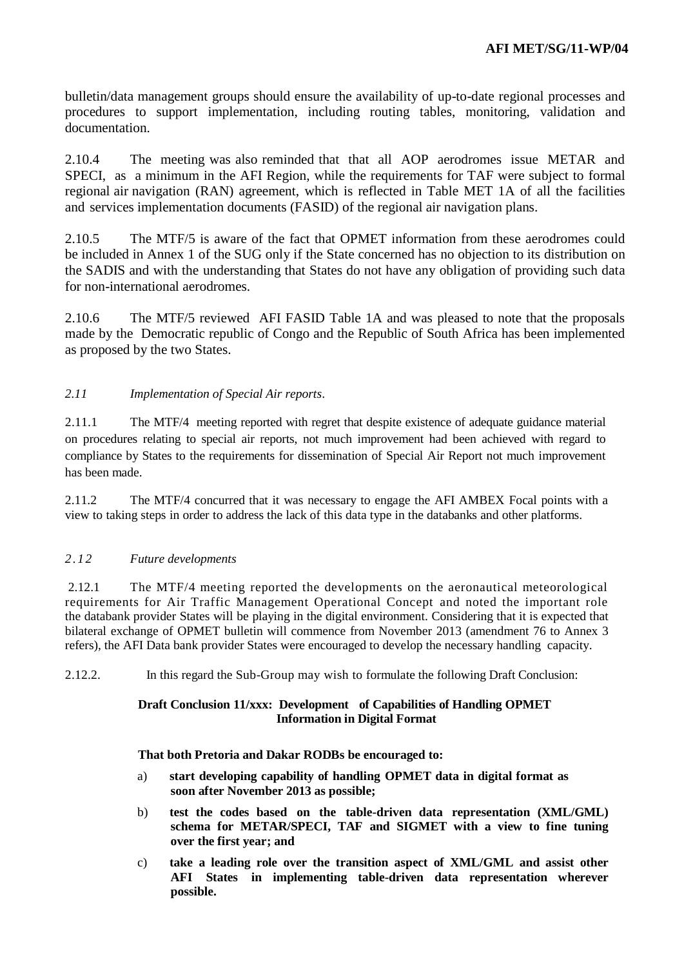bulletin/data management groups should ensure the availability of up-to-date regional processes and procedures to support implementation, including routing tables, monitoring, validation and documentation.

2.10.4 The meeting was also reminded that that all AOP aerodromes issue METAR and SPECI, as a minimum in the AFI Region, while the requirements for TAF were subject to formal regional air navigation (RAN) agreement, which is reflected in Table MET 1A of all the facilities and services implementation documents (FASID) of the regional air navigation plans.

2.10.5 The MTF/5 is aware of the fact that OPMET information from these aerodromes could be included in Annex 1 of the SUG only if the State concerned has no objection to its distribution on the SADIS and with the understanding that States do not have any obligation of providing such data for non-international aerodromes.

2.10.6 The MTF/5 reviewed AFI FASID Table 1A and was pleased to note that the proposals made by the Democratic republic of Congo and the Republic of South Africa has been implemented as proposed by the two States.

## *2.11 Implementation of Special Air reports*.

2.11.1 The MTF/4 meeting reported with regret that despite existence of adequate guidance material on procedures relating to special air reports, not much improvement had been achieved with regard to compliance by States to the requirements for dissemination of Special Air Report not much improvement has been made.

2.11.2 The MTF/4 concurred that it was necessary to engage the AFI AMBEX Focal points with a view to taking steps in order to address the lack of this data type in the databanks and other platforms.

## *2.12 Future developments*

2.12.1 The MTF/4 meeting reported the developments on the aeronautical meteorological requirements for Air Traffic Management Operational Concept and noted the important role the databank provider States will be playing in the digital environment. Considering that it is expected that bilateral exchange of OPMET bulletin will commence from November 2013 (amendment 76 to Annex 3 refers), the AFI Data bank provider States were encouraged to develop the necessary handling capacity.

2.12.2. In this regard the Sub-Group may wish to formulate the following Draft Conclusion:

### **Draft Conclusion 11/xxx: Development of Capabilities of Handling OPMET Information in Digital Format**

#### **That both Pretoria and Dakar RODBs be encouraged to:**

- a) **start developing capability of handling OPMET data in digital format as soon after November 2013 as possible;**
- b) **test the codes based on the table-driven data representation (XML/GML) schema for METAR/SPECI, TAF and SIGMET with a view to fine tuning over the first year; and**
- c) **take a leading role over the transition aspect of XML/GML and assist other AFI States in implementing table-driven data representation wherever possible.**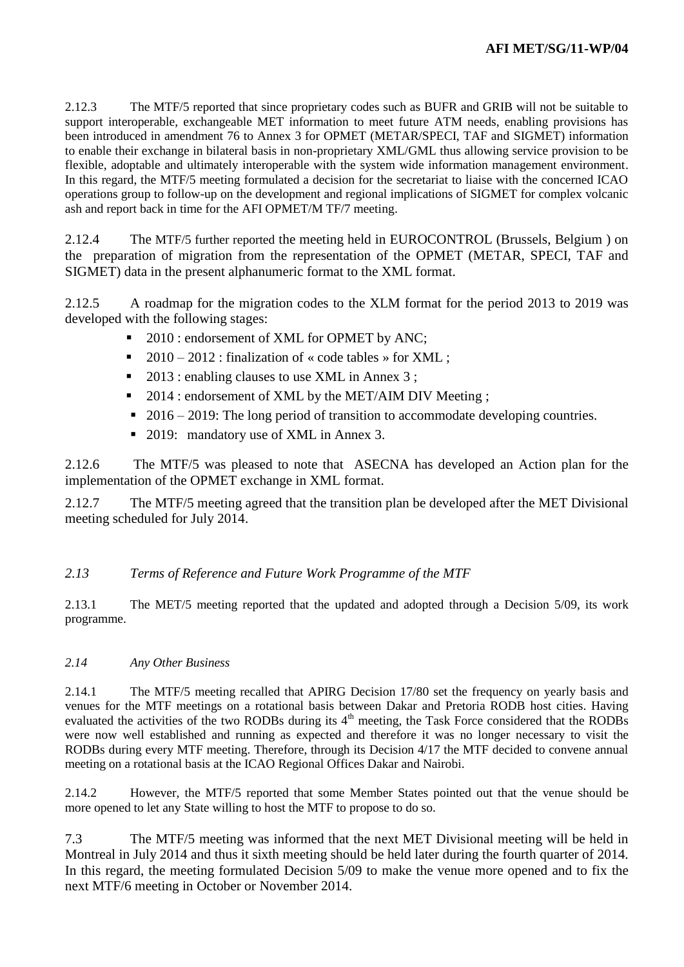2.12.3 The MTF/5 reported that since proprietary codes such as BUFR and GRIB will not be suitable to support interoperable, exchangeable MET information to meet future ATM needs, enabling provisions has been introduced in amendment 76 to Annex 3 for OPMET (METAR/SPECI, TAF and SIGMET) information to enable their exchange in bilateral basis in non-proprietary XML/GML thus allowing service provision to be flexible, adoptable and ultimately interoperable with the system wide information management environment. In this regard, the MTF/5 meeting formulated a decision for the secretariat to liaise with the concerned ICAO operations group to follow-up on the development and regional implications of SIGMET for complex volcanic ash and report back in time for the AFI OPMET/M TF/7 meeting.

2.12.4 The MTF/5 further reported the meeting held in EUROCONTROL (Brussels, Belgium ) on the preparation of migration from the representation of the OPMET (METAR, SPECI, TAF and SIGMET) data in the present alphanumeric format to the XML format.

2.12.5 A roadmap for the migration codes to the XLM format for the period 2013 to 2019 was developed with the following stages:

- 2010 : endorsement of XML for OPMET by ANC;
- 2010 2012 : finalization of « code tables » for XML ;
- 2013 : enabling clauses to use XML in Annex 3 ;
- 2014 : endorsement of XML by the MET/AIM DIV Meeting :
- $\blacksquare$  2016 2019: The long period of transition to accommodate developing countries.
- 2019: mandatory use of XML in Annex 3.

2.12.6 The MTF/5 was pleased to note that ASECNA has developed an Action plan for the implementation of the OPMET exchange in XML format.

2.12.7 The MTF/5 meeting agreed that the transition plan be developed after the MET Divisional meeting scheduled for July 2014.

# *2.13 Terms of Reference and Future Work Programme of the MTF*

2.13.1 The MET/5 meeting reported that the updated and adopted through a Decision 5/09, its work programme.

# *2.14 Any Other Business*

2.14.1 The MTF/5 meeting recalled that APIRG Decision 17/80 set the frequency on yearly basis and venues for the MTF meetings on a rotational basis between Dakar and Pretoria RODB host cities. Having evaluated the activities of the two RODBs during its 4<sup>th</sup> meeting, the Task Force considered that the RODBs were now well established and running as expected and therefore it was no longer necessary to visit the RODBs during every MTF meeting. Therefore, through its Decision 4/17 the MTF decided to convene annual meeting on a rotational basis at the ICAO Regional Offices Dakar and Nairobi.

2.14.2 However, the MTF/5 reported that some Member States pointed out that the venue should be more opened to let any State willing to host the MTF to propose to do so.

7.3 The MTF/5 meeting was informed that the next MET Divisional meeting will be held in Montreal in July 2014 and thus it sixth meeting should be held later during the fourth quarter of 2014. In this regard, the meeting formulated Decision 5/09 to make the venue more opened and to fix the next MTF/6 meeting in October or November 2014.